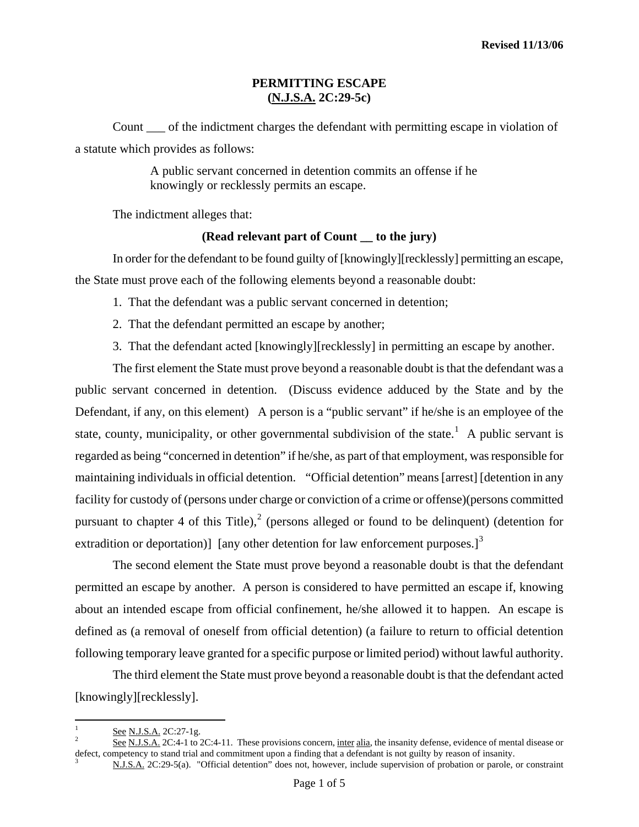### **PERMITTING ESCAPE (N.J.S.A. 2C:29-5c)**

Count \_\_\_ of the indictment charges the defendant with permitting escape in violation of a statute which provides as follows:

> A public servant concerned in detention commits an offense if he knowingly or recklessly permits an escape.

The indictment alleges that:

### **(Read relevant part of Count \_\_ to the jury)**

 In order for the defendant to be found guilty of [knowingly][recklessly] permitting an escape, the State must prove each of the following elements beyond a reasonable doubt:

- 1. That the defendant was a public servant concerned in detention;
- 2. That the defendant permitted an escape by another;
- 3. That the defendant acted [knowingly][recklessly] in permitting an escape by another.

The first element the State must prove beyond a reasonable doubt is that the defendant was a public servant concerned in detention. (Discuss evidence adduced by the State and by the Defendant, if any, on this element) A person is a "public servant" if he/she is an employee of the state, county, municipality, or other governmental subdivision of the state.<sup>[1](#page-0-0)</sup> A public servant is regarded as being "concerned in detention" if he/she, as part of that employment, was responsible for maintaining individuals in official detention. "Official detention" means [arrest] [detention in any facility for custody of (persons under charge or conviction of a crime or offense)(persons committed pursuant to chapter 4 of this Title),<sup>[2](#page-0-1)</sup> (persons alleged or found to be delinquent) (detention for extradition or deportation)] [any other detention for law enforcement purposes.]<sup>[3](#page-0-2)</sup>

The second element the State must prove beyond a reasonable doubt is that the defendant permitted an escape by another. A person is considered to have permitted an escape if, knowing about an intended escape from official confinement, he/she allowed it to happen. An escape is defined as (a removal of oneself from official detention) (a failure to return to official detention following temporary leave granted for a specific purpose or limited period) without lawful authority.

<span id="page-0-3"></span> The third element the State must prove beyond a reasonable doubt is that the defendant acted [knowingly][recklessly].

1

<span id="page-0-0"></span><sup>1</sup>  $\frac{See}{2}$  See N.J.S.A. 2C:27-1g.

<span id="page-0-2"></span><span id="page-0-1"></span>See N.J.S.A. 2C:4-1 to 2C:4-11. These provisions concern, inter alia, the insanity defense, evidence of mental disease or defect, competency to stand trial and commitment upon a finding that a defendant is not guilty by reason of insanity.

N.J.S.A. 2C:29-5(a). "Official detention" does not, however, include supervision of probation or parole, or constraint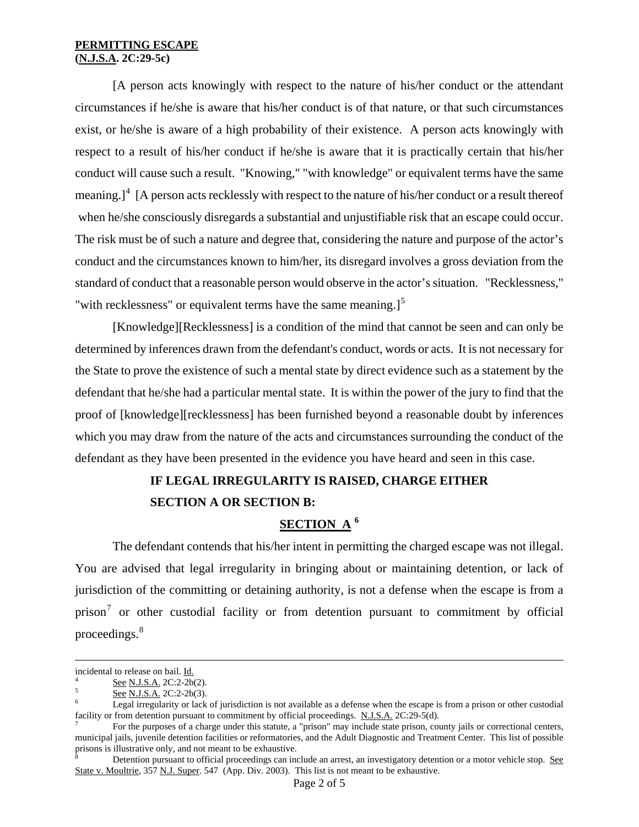#### **PERMITTING ESCAPE (N.J.S.A. 2C:29-5c)**

[A person acts knowingly with respect to the nature of his/her conduct or the attendant circumstances if he/she is aware that his/her conduct is of that nature, or that such circumstances exist, or he/she is aware of a high probability of their existence. A person acts knowingly with respect to a result of his/her conduct if he/she is aware that it is practically certain that his/her conduct will cause such a result. "Knowing," "with knowledge" or equivalent terms have the same meaning.]<sup>[4](#page-0-3)</sup> [A person acts recklessly with respect to the nature of his/her conduct or a result thereof when he/she consciously disregards a substantial and unjustifiable risk that an escape could occur. The risk must be of such a nature and degree that, considering the nature and purpose of the actor's conduct and the circumstances known to him/her, its disregard involves a gross deviation from the standard of conduct that a reasonable person would observe in the actor's situation. "Recklessness," "with recklessness" or equivalent terms have the same meaning.]<sup>[5](#page-1-0)</sup>

[Knowledge][Recklessness] is a condition of the mind that cannot be seen and can only be determined by inferences drawn from the defendant's conduct, words or acts. It is not necessary for the State to prove the existence of such a mental state by direct evidence such as a statement by the defendant that he/she had a particular mental state. It is within the power of the jury to find that the proof of [knowledge][recklessness] has been furnished beyond a reasonable doubt by inferences which you may draw from the nature of the acts and circumstances surrounding the conduct of the defendant as they have been presented in the evidence you have heard and seen in this case.

# **IF LEGAL IRREGULARITY IS RAISED, CHARGE EITHER SECTION A OR SECTION B:**

# **SECTION A [6](#page-1-1)**

 The defendant contends that his/her intent in permitting the charged escape was not illegal. You are advised that legal irregularity in bringing about or maintaining detention, or lack of jurisdiction of the committing or detaining authority, is not a defense when the escape is from a prison<sup>[7](#page-1-2)</sup> or other custodial facility or from detention pursuant to commitment by official proceedings.<sup>[8](#page-1-3)</sup>

incidental to release on bail. Id.

<span id="page-1-0"></span> $\frac{6}{5}$  See N.J.S.A. 2C:2-2b(2).

See N.J.S.A. 2C:2-2b(3).

<span id="page-1-1"></span>Legal irregularity or lack of jurisdiction is not available as a defense when the escape is from a prison or other custodial facility or from detention pursuant to commitment by official proceedings. N.J.S.A. 2C:29-5(d).

<span id="page-1-4"></span><span id="page-1-2"></span>For the purposes of a charge under this statute, a "prison" may include state prison, county jails or correctional centers, municipal jails, juvenile detention facilities or reformatories, and the Adult Diagnostic and Treatment Center. This list of possible prisons is illustrative only, and not meant to be exhaustive. 8

<span id="page-1-3"></span>Detention pursuant to official proceedings can include an arrest, an investigatory detention or a motor vehicle stop. See State v. Moultrie, 357 N.J. Super. 547 (App. Div. 2003). This list is not meant to be exhaustive.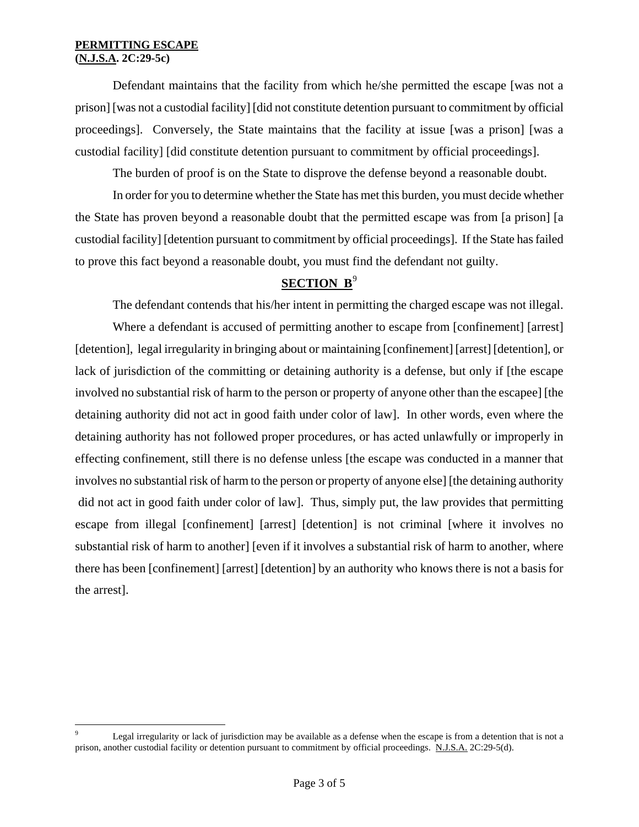#### **PERMITTING ESCAPE (N.J.S.A. 2C:29-5c)**

<span id="page-2-0"></span> $\overline{a}$ 

Defendant maintains that the facility from which he/she permitted the escape [was not a prison] [was not a custodial facility] [did not constitute detention pursuant to commitment by official proceedings]. Conversely, the State maintains that the facility at issue [was a prison] [was a custodial facility] [did constitute detention pursuant to commitment by official proceedings].

The burden of proof is on the State to disprove the defense beyond a reasonable doubt.

In order for you to determine whether the State has met this burden, you must decide whether the State has proven beyond a reasonable doubt that the permitted escape was from [a prison] [a custodial facility] [detention pursuant to commitment by official proceedings]. If the State has failed to prove this fact beyond a reasonable doubt, you must find the defendant not guilty.

## **SECTION B**<sup>[9](#page-1-4)</sup>

The defendant contends that his/her intent in permitting the charged escape was not illegal.

Where a defendant is accused of permitting another to escape from [confinement] [arrest] [detention], legal irregularity in bringing about or maintaining [confinement] [arrest] [detention], or lack of jurisdiction of the committing or detaining authority is a defense, but only if [the escape involved no substantial risk of harm to the person or property of anyone other than the escapee] [the detaining authority did not act in good faith under color of law]. In other words, even where the detaining authority has not followed proper procedures, or has acted unlawfully or improperly in effecting confinement, still there is no defense unless [the escape was conducted in a manner that involves no substantial risk of harm to the person or property of anyone else] [the detaining authority did not act in good faith under color of law]. Thus, simply put, the law provides that permitting escape from illegal [confinement] [arrest] [detention] is not criminal [where it involves no substantial risk of harm to another] [even if it involves a substantial risk of harm to another, where there has been [confinement] [arrest] [detention] by an authority who knows there is not a basis for the arrest].

<sup>9</sup> Legal irregularity or lack of jurisdiction may be available as a defense when the escape is from a detention that is not a prison, another custodial facility or detention pursuant to commitment by official proceedings. N.J.S.A. 2C:29-5(d).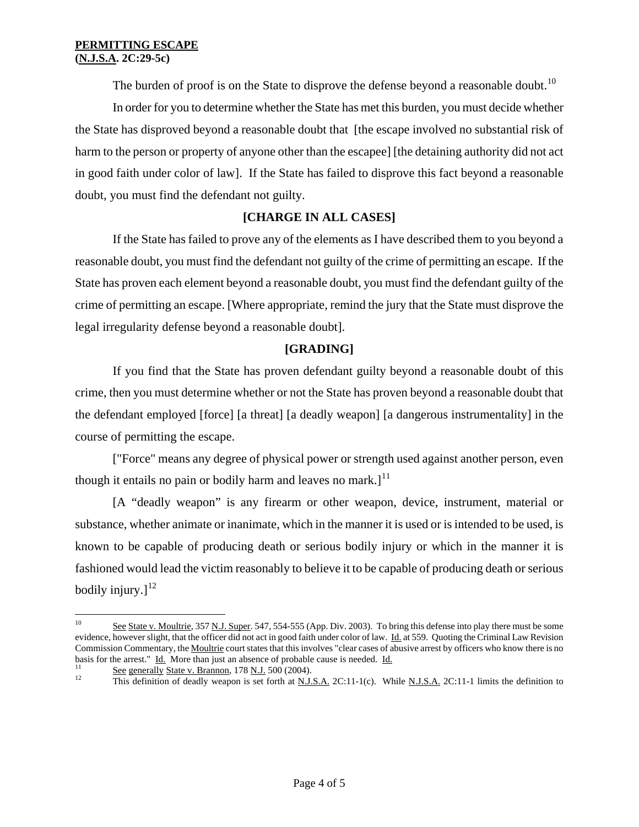The burden of proof is on the State to disprove the defense beyond a reasonable doubt.<sup>[10](#page-2-0)</sup>

In order for you to determine whether the State has met this burden, you must decide whether the State has disproved beyond a reasonable doubt that [the escape involved no substantial risk of harm to the person or property of anyone other than the escapee] [the detaining authority did not act in good faith under color of law]. If the State has failed to disprove this fact beyond a reasonable doubt, you must find the defendant not guilty.

## **[CHARGE IN ALL CASES]**

If the State has failed to prove any of the elements as I have described them to you beyond a reasonable doubt, you must find the defendant not guilty of the crime of permitting an escape. If the State has proven each element beyond a reasonable doubt, you must find the defendant guilty of the crime of permitting an escape. [Where appropriate, remind the jury that the State must disprove the legal irregularity defense beyond a reasonable doubt].

## **[GRADING]**

If you find that the State has proven defendant guilty beyond a reasonable doubt of this crime, then you must determine whether or not the State has proven beyond a reasonable doubt that the defendant employed [force] [a threat] [a deadly weapon] [a dangerous instrumentality] in the course of permitting the escape.

["Force" means any degree of physical power or strength used against another person, even though it entails no pain or bodily harm and leaves no mark. $l^{11}$  $l^{11}$  $l^{11}$ 

[A "deadly weapon" is any firearm or other weapon, device, instrument, material or substance, whether animate or inanimate, which in the manner it is used or is intended to be used, is known to be capable of producing death or serious bodily injury or which in the manner it is fashioned would lead the victim reasonably to believe it to be capable of producing death or serious bodily injury. $]$ <sup>[12](#page-3-1)</sup>

 $10\,$ See State v. Moultrie, 357 N.J. Super. 547, 554-555 (App. Div. 2003). To bring this defense into play there must be some evidence, however slight, that the officer did not act in good faith under color of law. Id. at 559. Quoting the Criminal Law Revision Commission Commentary, the Moultrie court states that this involves "clear cases of abusive arrest by officers who know there is no basis for the arrest." Id. More than just an absence of probable cause is needed. Id.<br>
<sup>11</sup> See generally State v. Brannon, 178 N.J. 500 (2004).<br>
<sup>12</sup> This definition of deadly weapon is set forth at N.J.S.A. 2C:11-1(c). W

<span id="page-3-1"></span><span id="page-3-0"></span>

<span id="page-3-2"></span>